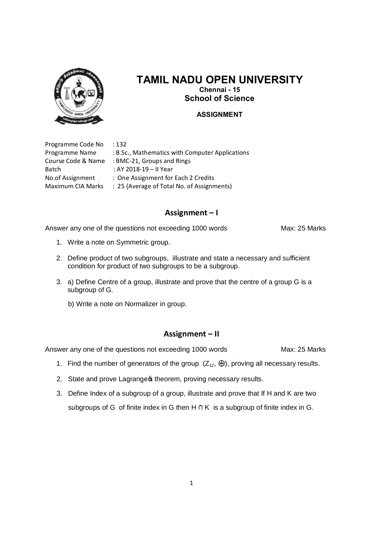

# **TAMIL NADU OPEN UNIVERSITY Chennai - 15**

**School of Science**

#### **ASSIGNMENT**

Programme Code No : 132

Programme Name : B.Sc., Mathematics with Computer Applications Course Code & Name : BMC-21, Groups and Rings Batch : AY 2018-19 – II Year No.of Assignment : One Assignment for Each 2 Credits Maximum CIA Marks : 25 (Average of Total No. of Assignments)

# **Assignment – I**

Answer any one of the questions not exceeding 1000 words Max: 25 Marks

- 1. Write a note on Symmetric group.
- 2. Define product of two subgroups, illustrate and state a necessary and sufficient condition for product of two subgroups to be a subgroup.
- 3. a) Define Centre of a group, illustrate and prove that the centre of a group G is a subgroup of G.
	- b) Write a note on Normalizer in group.

# **Assignment – II**

Answer any one of the questions not exceeding 1000 words Max: 25 Marks

- 1. Find the number of generators of the group  $(Z_{12}, \bigoplus)$ , proving all necessary results.
- 2. State and prove Lagrange theorem, proving necessary results.
- 3. Define Index of a subgroup of a group, illustrate and prove that If H and K are two subgroups of G of finite index in G then  $H \cap K$  is a subgroup of finite index in G.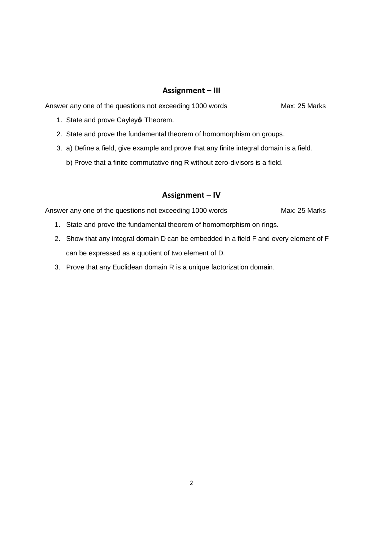## **Assignment – III**

Answer any one of the questions not exceeding 1000 words Max: 25 Marks

- 1. State and prove Cayley **Theorem.**
- 2. State and prove the fundamental theorem of homomorphism on groups.
- 3. a) Define a field, give example and prove that any finite integral domain is a field.
	- b) Prove that a finite commutative ring R without zero-divisors is a field.

## **Assignment – IV**

Answer any one of the questions not exceeding 1000 words Max: 25 Marks

- 1. State and prove the fundamental theorem of homomorphism on rings.
- 2. Show that any integral domain D can be embedded in a field F and every element of F can be expressed as a quotient of two element of D.
- 3. Prove that any Euclidean domain R is a unique factorization domain.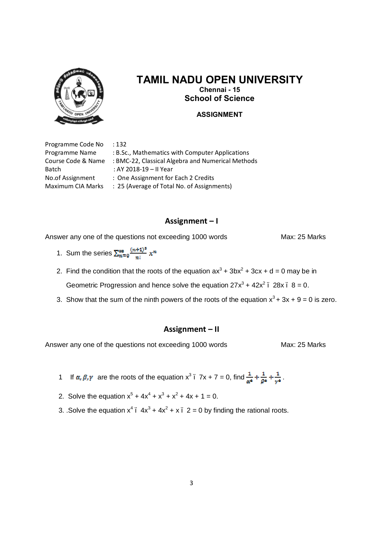

# **TAMIL NADU OPEN UNIVERSITY Chennai - 15**

**School of Science**

#### **ASSIGNMENT**

Programme Code No : 132

Programme Name : B.Sc., Mathematics with Computer Applications Course Code & Name : BMC-22, Classical Algebra and Numerical Methods Batch : AY 2018-19 – II Year No.of Assignment : One Assignment for Each 2 Credits Maximum CIA Marks : 25 (Average of Total No. of Assignments)

#### **Assignment – I**

Answer any one of the questions not exceeding 1000 words Max: 25 Marks

1. Sum the series  $\sum_{n=0}^{\infty} \frac{(n+1)^n}{n!} x^n$ 

2. Find the condition that the roots of the equation  $ax^3 + 3bx^2 + 3cx + d = 0$  may be in Geometric Progression and hence solve the equation  $27x^3 + 42x^2$ ,  $28x - 8 = 0$ .

3. Show that the sum of the ninth powers of the roots of the equation  $x^3 + 3x + 9 = 0$  is zero.

#### **Assignment – II**

Answer any one of the questions not exceeding 1000 words Max: 25 Marks

- 1 If  $\alpha, \beta, \gamma$  are the roots of the equation  $x^3$ .  $7x + 7 = 0$ , find  $\frac{1}{\alpha^4} + \frac{1}{\beta^4} + \frac{1}{\gamma^4}$ .
- 2. Solve the equation  $x^5 + 4x^4 + x^3 + x^2 + 4x + 1 = 0$ .
- 3. .Solve the equation  $x^4$   $4x^3 + 4x^2 + x$  2 = 0 by finding the rational roots.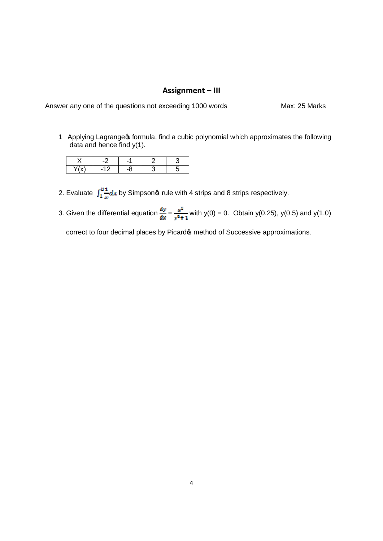# **Assignment – III**

| Answer any one of the questions not exceeding 1000 words | Max: 25 Marks |
|----------------------------------------------------------|---------------|
|----------------------------------------------------------|---------------|

1 Applying Lagrange of formula, find a cubic polynomial which approximates the following data and hence find y(1).

- 2. Evaluate  $\int_1^3 \frac{1}{x} dx$  by Simpson $\infty$  rule with 4 strips and 8 strips respectively.
- 3. Given the differential equation  $\frac{dy}{dx} = \frac{x^2}{y^2+1}$  with y(0) = 0. Obtain y(0.25), y(0.5) and y(1.0)

correct to four decimal places by Picard is method of Successive approximations.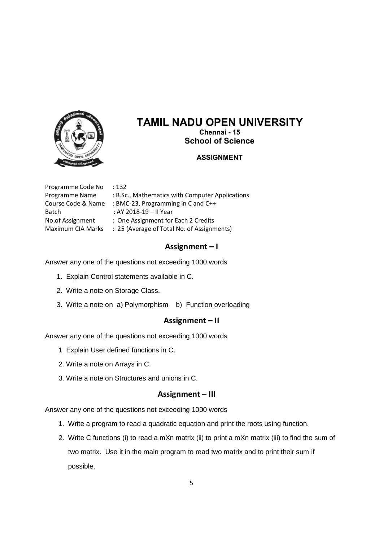

# **TAMIL NADU OPEN UNIVERSITY Chennai - 15**

**School of Science**

### **ASSIGNMENT**

Programme Code No : 132 Programme Name : B.Sc., Mathematics with Computer Applications Course Code & Name : BMC-23, Programming in C and C++ Batch : AY 2018-19 – II Year No.of Assignment : One Assignment for Each 2 Credits Maximum CIA Marks : 25 (Average of Total No. of Assignments)

# **Assignment – I**

Answer any one of the questions not exceeding 1000 words

- 1. Explain Control statements available in C.
- 2. Write a note on Storage Class.
- 3. Write a note on a) Polymorphism b) Function overloading

#### **Assignment – II**

Answer any one of the questions not exceeding 1000 words

- 1 Explain User defined functions in C.
- 2. Write a note on Arrays in C.
- 3. Write a note on Structures and unions in C.

#### **Assignment – III**

Answer any one of the questions not exceeding 1000 words

- 1. Write a program to read a quadratic equation and print the roots using function.
- 2. Write C functions (i) to read a mXn matrix (ii) to print a mXn matrix (iii) to find the sum of two matrix. Use it in the main program to read two matrix and to print their sum if possible.